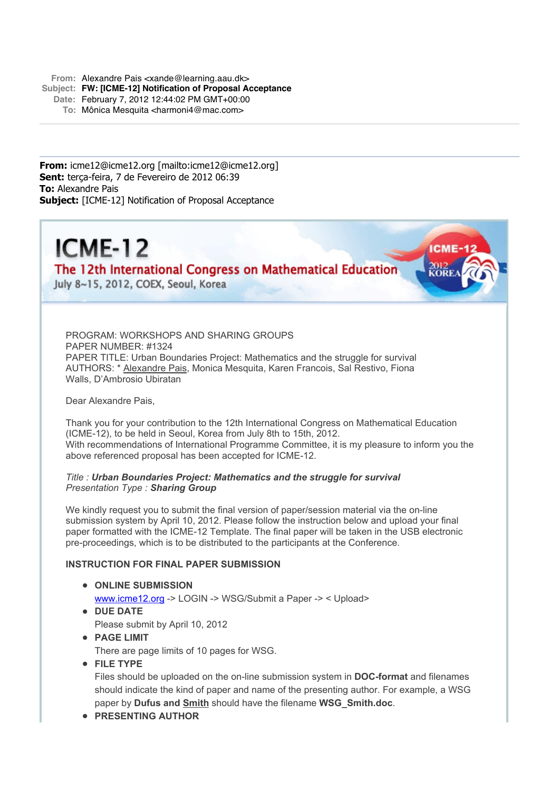**From:** Alexandre Pais <xande@learning.aau.dk>

- **Subject: FW: [ICME-12] Notification of Proposal Acceptance**
	- **Date:** February 7, 2012 12:44:02 PM GMT+00:00
		- **To:** Mônica Mesquita <harmoni4@mac.com>

**From:** icme12@icme12.org [mailto:icme12@icme12.org] **Sent:** terça-feira, 7 de Fevereiro de 2012 06:39 **To:** Alexandre Pais **Subject:** [ICME-12] Notification of Proposal Acceptance



The 12th International Congress on Mathematical Education

July 8~15, 2012, COEX, Seoul, Korea

PROGRAM: WORKSHOPS AND SHARING GROUPS PAPER NUMBER: #1324 PAPER TITLE: Urban Boundaries Project: Mathematics and the struggle for survival AUTHORS: \* Alexandre Pais, Monica Mesquita, Karen Francois, Sal Restivo, Fiona Walls, D'Ambrosio Ubiratan

Dear Alexandre Pais,

Thank you for your contribution to the 12th International Congress on Mathematical Education (ICME-12), to be held in Seoul, Korea from July 8th to 15th, 2012. With recommendations of International Programme Committee, it is my pleasure to inform you the above referenced proposal has been accepted for ICME-12.

*Title : Urban Boundaries Project: Mathematics and the struggle for survival Presentation Type : Sharing Group*

We kindly request you to submit the final version of paper/session material via the on-line submission system by April 10, 2012. Please follow the instruction below and upload your final paper formatted with the ICME-12 Template. The final paper will be taken in the USB electronic pre-proceedings, which is to be distributed to the participants at the Conference.

## **INSTRUCTION FOR FINAL PAPER SUBMISSION**

- **ONLINE SUBMISSION** www.icme12.org -> LOGIN -> WSG/Submit a Paper -> < Upload>
- **DUE DATE** Please submit by April 10, 2012
- **PAGE LIMIT**

There are page limits of 10 pages for WSG.

**FILE TYPE**

Files should be uploaded on the on-line submission system in **DOC-format** and filenames should indicate the kind of paper and name of the presenting author. For example, a WSG paper by **Dufus and Smith** should have the filename **WSG\_Smith.doc**.

**PRESENTING AUTHOR**